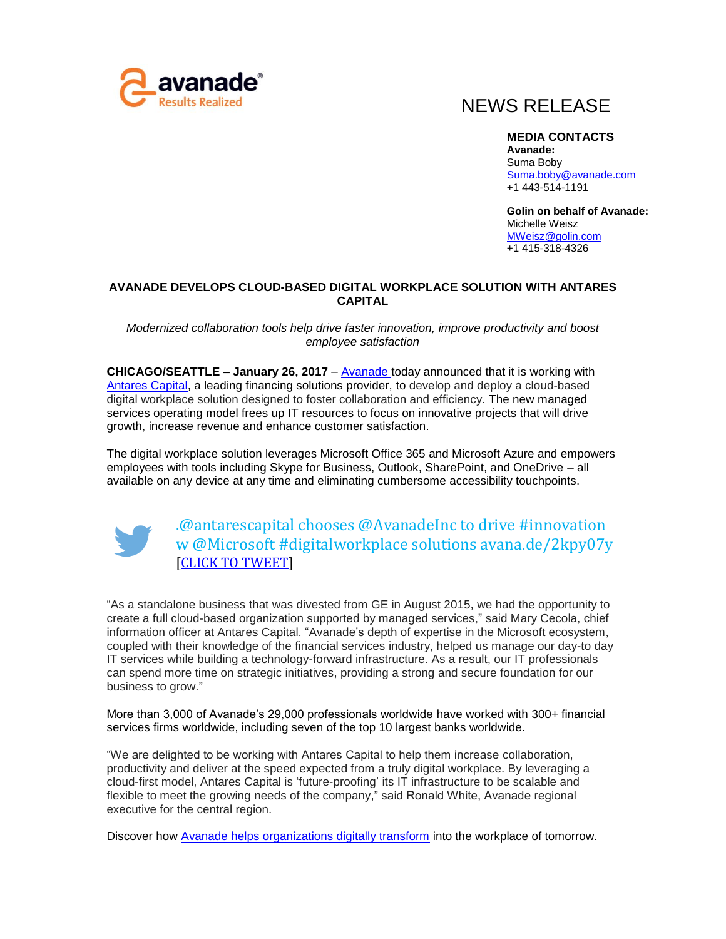

## NEWS RELEASE

**MEDIA CONTACTS Avanade:**  Suma Boby [Suma.boby@avanade.com](mailto:Suma.boby@avanade.com) +1 443-514-1191

**Golin on behalf of Avanade:**  Michelle Weisz [MWeisz@golin.com](mailto:MWeisz@golin.com)  +1 415-318-4326

## **AVANADE DEVELOPS CLOUD-BASED DIGITAL WORKPLACE SOLUTION WITH ANTARES CAPITAL**

*Modernized collaboration tools help drive faster innovation, improve productivity and boost employee satisfaction* 

**CHICAGO/SEATTLE – January 26, 2017** – [Avanade](https://www.avanade.com/en) today announced that it is working with [Antares Capital,](http://www.antares.com/) a leading financing solutions provider, to develop and deploy a cloud-based digital workplace solution designed to foster collaboration and efficiency. The new managed services operating model frees up IT resources to focus on innovative projects that will drive growth, increase revenue and enhance customer satisfaction.

The digital workplace solution leverages Microsoft Office 365 and Microsoft Azure and empowers employees with tools including Skype for Business, Outlook, SharePoint, and OneDrive – all available on any device at any time and eliminating cumbersome accessibility touchpoints.



[.@antarescapital](mailto:.@antarescapital) chooses @AvanadeInc to drive #innovation w @Microsoft #digitalworkplace solutions avana.de/2kpy07y [\[CLICK TO TWEET\]](http://ctt.ec/09Bt5)

"As a standalone business that was divested from GE in August 2015, we had the opportunity to create a full cloud-based organization supported by managed services," said Mary Cecola, chief information officer at Antares Capital. "Avanade's depth of expertise in the Microsoft ecosystem, coupled with their knowledge of the financial services industry, helped us manage our day-to day IT services while building a technology-forward infrastructure. As a result, our IT professionals can spend more time on strategic initiatives, providing a strong and secure foundation for our business to grow."

More than 3,000 of Avanade's 29,000 professionals worldwide have worked with 300+ financial services firms worldwide, including seven of the top 10 largest banks worldwide.

"We are delighted to be working with Antares Capital to help them increase collaboration, productivity and deliver at the speed expected from a truly digital workplace. By leveraging a cloud-first model, Antares Capital is 'future-proofing' its IT infrastructure to be scalable and flexible to meet the growing needs of the company," said Ronald White, Avanade regional executive for the central region.

Discover how [Avanade helps organizations digitally transform](https://www.avanade.com/en-us/thinking/digital-workplace) into the workplace of tomorrow.